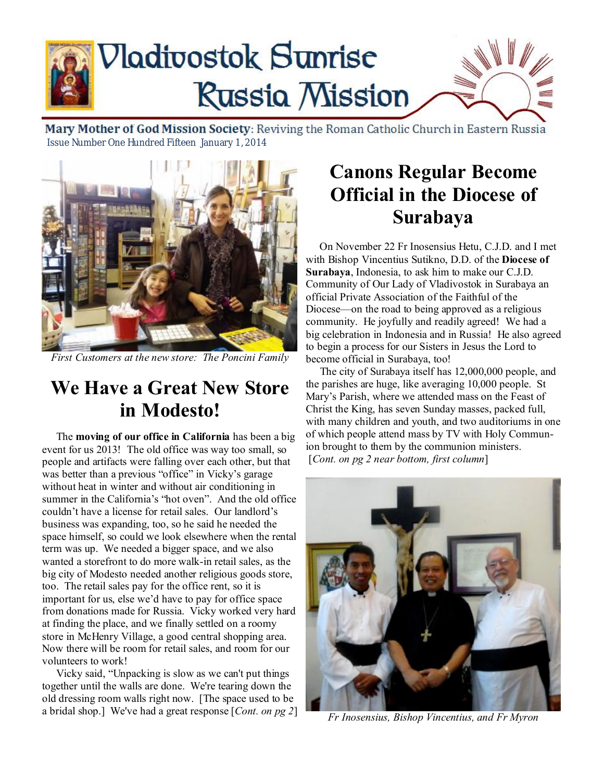

Mary Mother of God Mission Society: Reviving the Roman Catholic Church in Eastern Russia Issue Number One Hundred Fifteen January 1, 2014



*First Customers at the new store: The Poncini Family* 

## **We Have a Great New Store in Modesto!**

 The **moving of our office in California** has been a big event for us 2013! The old office was way too small, so people and artifacts were falling over each other, but that was better than a previous "office" in Vicky's garage without heat in winter and without air conditioning in summer in the California's "hot oven". And the old office couldn't have a license for retail sales. Our landlord's business was expanding, too, so he said he needed the space himself, so could we look elsewhere when the rental term was up. We needed a bigger space, and we also wanted a storefront to do more walk-in retail sales, as the big city of Modesto needed another religious goods store, too. The retail sales pay for the office rent, so it is important for us, else we'd have to pay for office space from donations made for Russia. Vicky worked very hard at finding the place, and we finally settled on a roomy store in McHenry Village, a good central shopping area. Now there will be room for retail sales, and room for our volunteers to work!

 Vicky said, "Unpacking is slow as we can't put things together until the walls are done. We're tearing down the old dressing room walls right now. [The space used to be a bridal shop.] We've had a great response [*Cont. on pg 2*]

## **Canons Regular Become Official in the Diocese of Surabaya**

 On November 22 Fr Inosensius Hetu, C.J.D. and I met with Bishop Vincentius Sutikno, D.D. of the **Diocese of Surabaya**, Indonesia, to ask him to make our C.J.D. Community of Our Lady of Vladivostok in Surabaya an official Private Association of the Faithful of the Diocese—on the road to being approved as a religious community. He joyfully and readily agreed! We had a big celebration in Indonesia and in Russia! He also agreed to begin a process for our Sisters in Jesus the Lord to become official in Surabaya, too!

 The city of Surabaya itself has 12,000,000 people, and the parishes are huge, like averaging 10,000 people. St Mary's Parish, where we attended mass on the Feast of Christ the King, has seven Sunday masses, packed full, with many children and youth, and two auditoriums in one of which people attend mass by TV with Holy Communion brought to them by the communion ministers. [*Cont. on pg 2 near bottom, first column*]



*Fr Inosensius, Bishop Vincentius, and Fr Myron*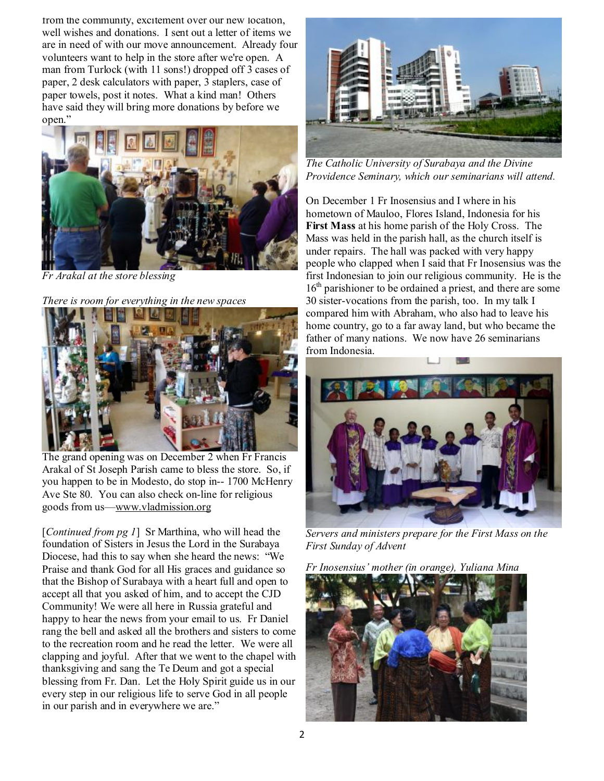from the community, excitement over our new location, well wishes and donations. I sent out a letter of items we are in need of with our move announcement. Already four volunteers want to help in the store after we're open. A man from Turlock (with 11 sons!) dropped off 3 cases of paper, 2 desk calculators with paper, 3 staplers, case of paper towels, post it notes. What a kind man! Others have said they will bring more donations by before we open."



*Fr Arakal at the store blessing* 

*There is room for everything in the new spaces* 



The grand opening was on December 2 when Fr Francis Arakal of St Joseph Parish came to bless the store. So, if you happen to be in Modesto, do stop in-- 1700 McHenry Ave Ste 80. You can also check on-line for religious goods from us[—www.vladmission.org](http://www.vladmission.org)

[*Continued from pg 1*] Sr Marthina, who will head the foundation of Sisters in Jesus the Lord in the Surabaya Diocese, had this to say when she heard the news: "We Praise and thank God for all His graces and guidance so that the Bishop of Surabaya with a heart full and open to accept all that you asked of him, and to accept the CJD Community! We were all here in Russia grateful and happy to hear the news from your email to us. Fr Daniel rang the bell and asked all the brothers and sisters to come to the recreation room and he read the letter. We were all clapping and joyful. After that we went to the chapel with thanksgiving and sang the Te Deum and got a special blessing from Fr. Dan. Let the Holy Spirit guide us in our every step in our religious life to serve God in all people in our parish and in everywhere we are."



*The Catholic University of Surabaya and the Divine Providence Seminary, which our seminarians will attend.* 

On December 1 Fr Inosensius and I where in his hometown of Mauloo, Flores Island, Indonesia for his **First Mass** at his home parish of the Holy Cross. The Mass was held in the parish hall, as the church itself is under repairs. The hall was packed with very happy people who clapped when I said that Fr Inosensius was the first Indonesian to join our religious community. He is the 16<sup>th</sup> parishioner to be ordained a priest, and there are some 30 sister-vocations from the parish, too. In my talk I compared him with Abraham, who also had to leave his home country, go to a far away land, but who became the father of many nations. We now have 26 seminarians from Indonesia.



*Servers and ministers prepare for the First Mass on the First Sunday of Advent* 

*Fr Inosensius' mother (in orange), Yuliana Mina* 

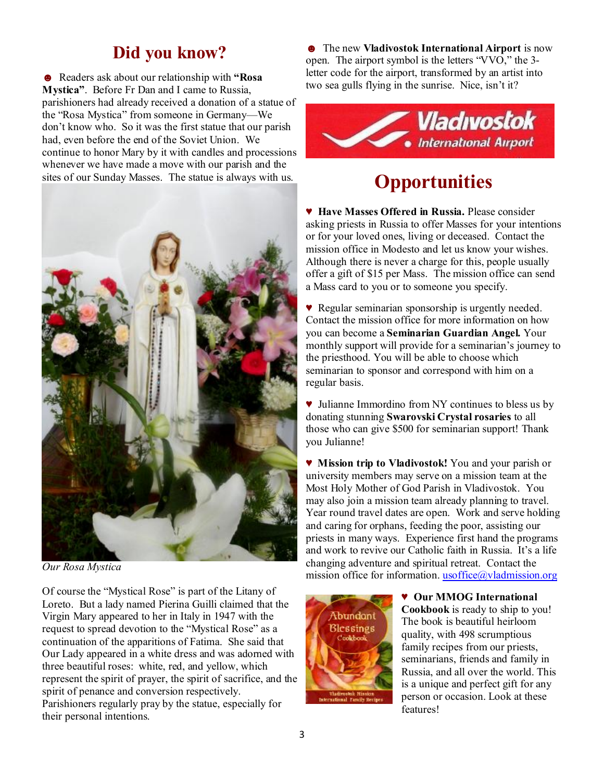## **Did you know?**

☻ Readers ask about our relationship with **"Rosa Mystica"**. Before Fr Dan and I came to Russia, parishioners had already received a donation of a statue of the "Rosa Mystica" from someone in Germany—We don't know who. So it was the first statue that our parish had, even before the end of the Soviet Union. We continue to honor Mary by it with candles and processions whenever we have made a move with our parish and the sites of our Sunday Masses. The statue is always with us.



*Our Rosa Mystica* 

Of course the "Mystical Rose" is part of the Litany of Loreto. But a lady named Pierina Guilli claimed that the Virgin Mary appeared to her in Italy in 1947 with the request to spread devotion to the "Mystical Rose" as a continuation of the apparitions of Fatima. She said that Our Lady appeared in a white dress and was adorned with three beautiful roses: white, red, and yellow, which represent the spirit of prayer, the spirit of sacrifice, and the spirit of penance and conversion respectively. Parishioners regularly pray by the statue, especially for their personal intentions.

☻ The new **Vladivostok International Airport** is now open. The airport symbol is the letters "VVO," the 3 letter code for the airport, transformed by an artist into two sea gulls flying in the sunrise. Nice, isn't it?



# **Opportunities**

♥ **Have Masses Offered in Russia.** Please consider asking priests in Russia to offer Masses for your intentions or for your loved ones, living or deceased. Contact the mission office in Modesto and let us know your wishes. Although there is never a charge for this, people usually offer a gift of \$15 per Mass. The mission office can send a Mass card to you or to someone you specify.

♥ Regular seminarian sponsorship is urgently needed. Contact the mission office for more information on how you can become a **Seminarian Guardian Angel.** Your monthly support will provide for a seminarian's journey to the priesthood. You will be able to choose which seminarian to sponsor and correspond with him on a regular basis.

♥ Julianne Immordino from NY continues to bless us by donating stunning **Swarovski Crystal rosaries** to all those who can give \$500 for seminarian support! Thank you Julianne!

♥ **Mission trip to Vladivostok!** You and your parish or university members may serve on a mission team at the Most Holy Mother of God Parish in Vladivostok. You may also join a mission team already planning to travel. Year round travel dates are open. Work and serve holding and caring for orphans, feeding the poor, assisting our priests in many ways. Experience first hand the programs and work to revive our Catholic faith in Russia. It's a life changing adventure and spiritual retreat. Contact the mission office for information. [usoffice@vladmission.org](mailto:usoffice@vladmission.org)



♥ **Our MMOG International Cookbook** is ready to ship to you! The book is beautiful heirloom quality, with 498 scrumptious family recipes from our priests, seminarians, friends and family in Russia, and all over the world. This is a unique and perfect gift for any person or occasion. Look at these features!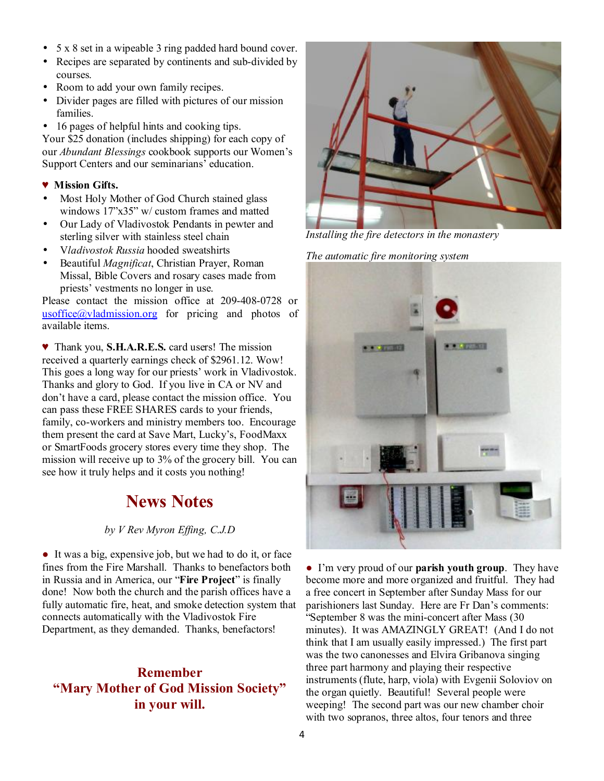- 5 x 8 set in a wipeable 3 ring padded hard bound cover.
- Recipes are separated by continents and sub-divided by courses.
- Room to add your own family recipes.
- Divider pages are filled with pictures of our mission families.
- 16 pages of helpful hints and cooking tips.

Your \$25 donation (includes shipping) for each copy of our *Abundant Blessings* cookbook supports our Women's Support Centers and our seminarians' education.

#### ♥ **Mission Gifts.**

- Most Holy Mother of God Church stained glass windows 17"x35" w/ custom frames and matted
- Our Lady of Vladivostok Pendants in pewter and sterling silver with stainless steel chain
- V*ladivostok Russia* hooded sweatshirts
- Beautiful *Magnificat*, Christian Prayer, Roman Missal, Bible Covers and rosary cases made from priests' vestments no longer in use.

Please contact the mission office at 209-408-0728 or [usoffice@vladmission.org](mailto:usoffice@vladmission.org) for pricing and photos of available items.

♥ Thank you, **S.H.A.R.E.S.** card users! The mission received a quarterly earnings check of \$2961.12. Wow! This goes a long way for our priests' work in Vladivostok. Thanks and glory to God. If you live in CA or NV and don't have a card, please contact the mission office. You can pass these FREE SHARES cards to your friends, family, co-workers and ministry members too. Encourage them present the card at Save Mart, Lucky's, FoodMaxx or SmartFoods grocery stores every time they shop. The mission will receive up to 3% of the grocery bill. You can see how it truly helps and it costs you nothing!

## **News Notes**

#### *by V Rev Myron Effing, C.J.D*

● It was a big, expensive job, but we had to do it, or face fines from the Fire Marshall. Thanks to benefactors both in Russia and in America, our "**Fire Project**" is finally done! Now both the church and the parish offices have a fully automatic fire, heat, and smoke detection system that connects automatically with the Vladivostok Fire Department, as they demanded. Thanks, benefactors!

### **Remember "Mary Mother of God Mission Society" in your will.**



*Installing the fire detectors in the monastery* 

*The automatic fire monitoring system* 



● I'm very proud of our **parish youth group**. They have become more and more organized and fruitful. They had a free concert in September after Sunday Mass for our parishioners last Sunday. Here are Fr Dan's comments: "September 8 was the mini-concert after Mass (30 minutes). It was AMAZINGLY GREAT! (And I do not think that I am usually easily impressed.) The first part was the two canonesses and Elvira Gribanova singing three part harmony and playing their respective instruments (flute, harp, viola) with Evgenii Soloviov on the organ quietly. Beautiful! Several people were weeping! The second part was our new chamber choir with two sopranos, three altos, four tenors and three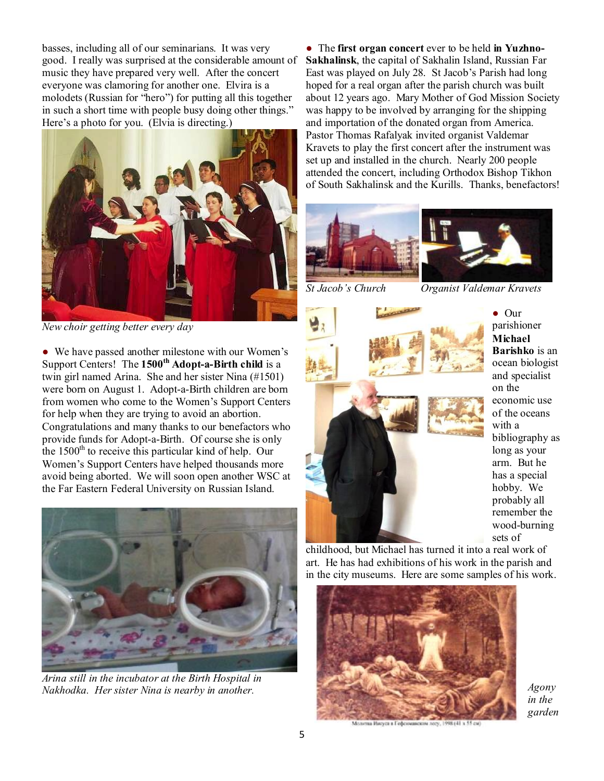basses, including all of our seminarians. It was very good. I really was surprised at the considerable amount of music they have prepared very well. After the concert everyone was clamoring for another one. Elvira is a molodets (Russian for "hero") for putting all this together in such a short time with people busy doing other things." Here's a photo for you. (Elvia is directing.)



*New choir getting better every day* 

● We have passed another milestone with our Women's Support Centers! The **1500th Adopt-a-Birth child** is a twin girl named Arina. She and her sister Nina (#1501) were born on August 1. Adopt-a-Birth children are born from women who come to the Women's Support Centers for help when they are trying to avoid an abortion. Congratulations and many thanks to our benefactors who provide funds for Adopt-a-Birth. Of course she is only the  $1500<sup>th</sup>$  to receive this particular kind of help. Our Women's Support Centers have helped thousands more avoid being aborted. We will soon open another WSC at the Far Eastern Federal University on Russian Island.



*Arina still in the incubator at the Birth Hospital in Nakhodka. Her sister Nina is nearby in another.* 

● The **first organ concert** ever to be held **in Yuzhno-Sakhalinsk**, the capital of Sakhalin Island, Russian Far East was played on July 28. St Jacob's Parish had long hoped for a real organ after the parish church was built about 12 years ago. Mary Mother of God Mission Society was happy to be involved by arranging for the shipping and importation of the donated organ from America. Pastor Thomas Rafalyak invited organist Valdemar Kravets to play the first concert after the instrument was set up and installed in the church. Nearly 200 people attended the concert, including Orthodox Bishop Tikhon of South Sakhalinsk and the Kurills. Thanks, benefactors!



*St Jacob's Church Organist Valdemar Kravets* 



● Our parishioner **Michael Barishko** is an ocean biologist and specialist on the economic use of the oceans with a bibliography as long as your arm. But he has a special hobby. We probably all remember the wood-burning sets of

childhood, but Michael has turned it into a real work of art. He has had exhibitions of his work in the parish and in the city museums. Here are some samples of his work.



*Agony in the garden*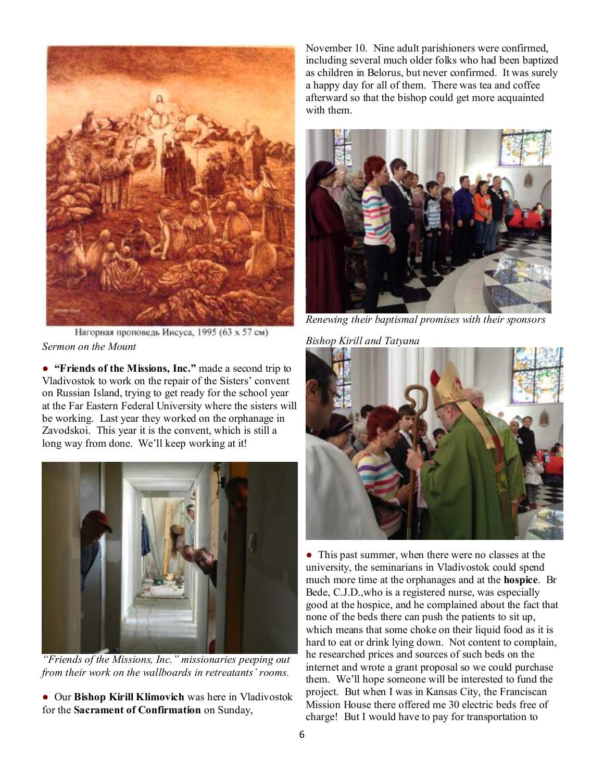

Нагорная проповедь Иисуса, 1995 (63 х 57 см) *Sermon on the Mount* 

● **"Friends of the Missions, Inc."** made a second trip to Vladivostok to work on the repair of the Sisters' convent on Russian Island, trying to get ready for the school year at the Far Eastern Federal University where the sisters will be working. Last year they worked on the orphanage in Zavodskoi. This year it is the convent, which is still a long way from done. We'll keep working at it!



*"Friends of the Missions, Inc." missionaries peeping out from their work on the wallboards in retreatants' rooms.* 

● Our **Bishop Kirill Klimovich** was here in Vladivostok for the **Sacrament of Confirmation** on Sunday,

November 10. Nine adult parishioners were confirmed, including several much older folks who had been baptized as children in Belorus, but never confirmed. It was surely a happy day for all of them. There was tea and coffee afterward so that the bishop could get more acquainted with them.



*Renewing their baptismal promises with their sponsors* 

*Bishop Kirill and Tatyana*



• This past summer, when there were no classes at the university, the seminarians in Vladivostok could spend much more time at the orphanages and at the **hospice**. Br Bede, C.J.D.,who is a registered nurse, was especially good at the hospice, and he complained about the fact that none of the beds there can push the patients to sit up, which means that some choke on their liquid food as it is hard to eat or drink lying down. Not content to complain, he researched prices and sources of such beds on the internet and wrote a grant proposal so we could purchase them. We'll hope someone will be interested to fund the project. But when I was in Kansas City, the Franciscan Mission House there offered me 30 electric beds free of charge! But I would have to pay for transportation to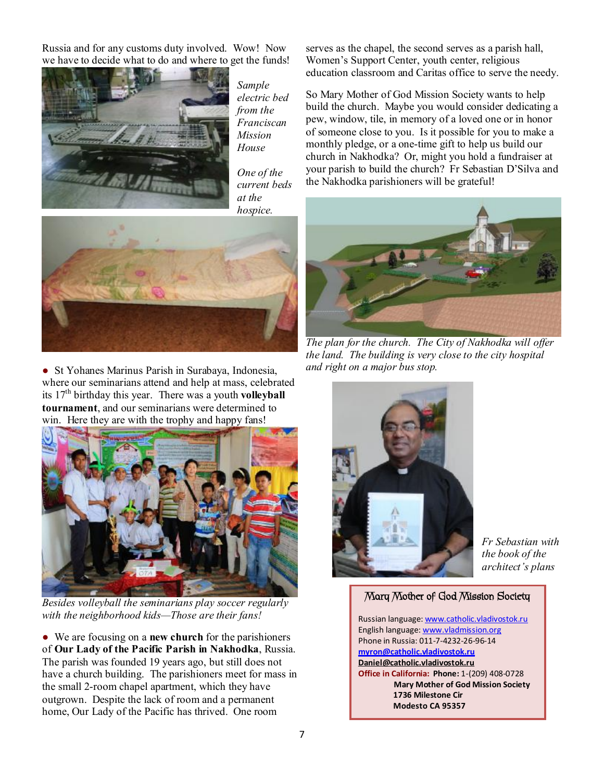Russia and for any customs duty involved. Wow! Now we have to decide what to do and where to get the funds!



*Sample electric bed from the Franciscan Mission House* 

*One of the current beds at the hospice.* 



● St Yohanes Marinus Parish in Surabaya, Indonesia, where our seminarians attend and help at mass, celebrated its 17th birthday this year. There was a youth **volleyball tournament**, and our seminarians were determined to win. Here they are with the trophy and happy fans!



*Besides volleyball the seminarians play soccer regularly with the neighborhood kids—Those are their fans!* 

● We are focusing on a **new church** for the parishioners of **Our Lady of the Pacific Parish in Nakhodka**, Russia. The parish was founded 19 years ago, but still does not have a church building. The parishioners meet for mass in the small 2-room chapel apartment, which they have outgrown. Despite the lack of room and a permanent home, Our Lady of the Pacific has thrived. One room

serves as the chapel, the second serves as a parish hall, Women's Support Center, youth center, religious education classroom and Caritas office to serve the needy.

So Mary Mother of God Mission Society wants to help build the church. Maybe you would consider dedicating a pew, window, tile, in memory of a loved one or in honor of someone close to you. Is it possible for you to make a monthly pledge, or a one-time gift to help us build our church in Nakhodka? Or, might you hold a fundraiser at your parish to build the church? Fr Sebastian D'Silva and the Nakhodka parishioners will be grateful!



*The plan for the church. The City of Nakhodka will offer the land. The building is very close to the city hospital and right on a major bus stop.* 



*Fr Sebastian with the book of the architect's plans* 

#### **Mary Mother of God Mission Society**

Russian language: [www.catholic.vladivostok.ru](http://www.catholic.vladivostok.ru) English language: [www.vladmission.org](http://www.vladmission.org) Phone in Russia: 011-7-4232-26-96-14 **[myron@catholic.vladivostok.ru](mailto:myron@catholic.vladivostok.ru) [Daniel@catholic.vladivostok.ru](mailto:Daniel@catholic.vladivostok.ru) Office in California: Phone:** 1-(209) 408-0728 **Mary Mother of God Mission Society 1736 Milestone Cir Modesto CA 95357**